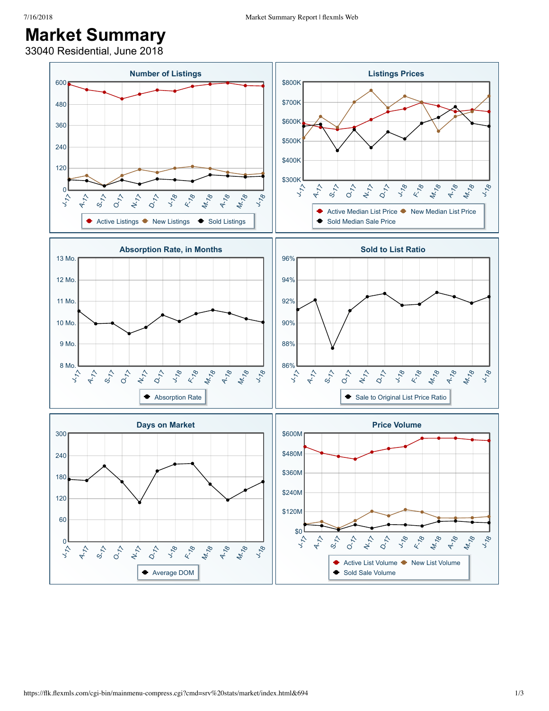## **Market Summary**

33040 Residential, June 2018

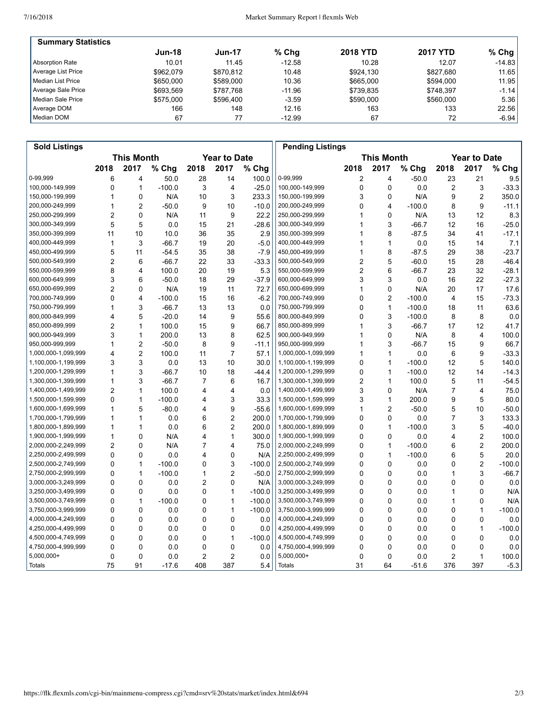| <b>Summary Statistics</b> |               |               |          |                 |                 |                |
|---------------------------|---------------|---------------|----------|-----------------|-----------------|----------------|
|                           | <b>Jun-18</b> | <b>Jun-17</b> | $%$ Chq  | <b>2018 YTD</b> | <b>2017 YTD</b> | $%$ Chg        |
| Absorption Rate           | 10.01         | 11.45         | $-12.58$ | 10.28           | 12.07           | $-14.83$       |
| Average List Price        | \$962.079     | \$870.812     | 10.48    | \$924.130       | \$827.680       | 11.65          |
| l Median List Price       | \$650,000     | \$589,000     | 10.36    | \$665,000       | \$594.000       | 11.95          |
| Average Sale Price        | \$693.569     | \$787.768     | $-11.96$ | \$739.835       | \$748.397       | $-1.14$ $\mid$ |
| Median Sale Price         | \$575,000     | \$596,400     | $-3.59$  | \$590,000       | \$560,000       | 5.36           |
| Average DOM               | 166           | 148           | 12.16    | 163             | 133             | 22.56          |
| Median DOM                | 67            | 77            | $-12.99$ | 67              | 72              | $-6.94$        |

| <b>Sold Listings</b> |                                          |                         |          |                |                         |                   | <b>Pending Listings</b> |              |                |          |                     |                |          |
|----------------------|------------------------------------------|-------------------------|----------|----------------|-------------------------|-------------------|-------------------------|--------------|----------------|----------|---------------------|----------------|----------|
|                      | <b>This Month</b><br><b>Year to Date</b> |                         |          |                |                         | <b>This Month</b> |                         |              |                |          | <b>Year to Date</b> |                |          |
|                      | 2018                                     | 2017                    | % Chg    | 2018           | 2017                    | % Chg             |                         | 2018         | 2017           | % Chg    | 2018                | 2017           | % Chg    |
| 0-99,999             | 6                                        | 4                       | 50.0     | 28             | 14                      | 100.0             | 0-99,999                | 2            | 4              | $-50.0$  | 23                  | 21             | 9.5      |
| 100,000-149,999      | 0                                        | $\mathbf{1}$            | $-100.0$ | 3              | 4                       | $-25.0$           | 100,000-149,999         | 0            | $\mathbf 0$    | 0.0      | $\overline{c}$      | 3              | $-33.3$  |
| 150,000-199,999      | 1                                        | 0                       | N/A      | 10             | 3                       | 233.3             | 150,000-199,999         | 3            | 0              | N/A      | 9                   | $\overline{2}$ | 350.0    |
| 200,000-249,999      | 1                                        | $\overline{2}$          | $-50.0$  | 9              | 10                      | $-10.0$           | 200,000-249,999         | 0            | 4              | $-100.0$ | 8                   | 9              | $-11.1$  |
| 250,000-299,999      | $\overline{2}$                           | $\mathbf 0$             | N/A      | 11             | 9                       | 22.2              | 250,000-299,999         | 1            | $\mathbf 0$    | N/A      | 13                  | 12             | 8.3      |
| 300,000-349,999      | 5                                        | 5                       | 0.0      | 15             | 21                      | $-28.6$           | 300,000-349,999         |              | 3              | $-66.7$  | 12                  | 16             | $-25.0$  |
| 350,000-399,999      | 11                                       | 10                      | 10.0     | 36             | 35                      | 2.9               | 350,000-399,999         | 1            | 8              | $-87.5$  | 34                  | 41             | $-17.1$  |
| 400,000-449,999      | 1                                        | 3                       | $-66.7$  | 19             | 20                      | $-5.0$            | 400,000-449,999         | 1            | $\mathbf{1}$   | 0.0      | 15                  | 14             | 7.1      |
| 450,000-499,999      | 5                                        | 11                      | $-54.5$  | 35             | 38                      | $-7.9$            | 450,000-499,999         | 1            | 8              | -87.5    | 29                  | 38             | $-23.7$  |
| 500,000-549,999      | $\overline{2}$                           | 6                       | $-66.7$  | 22             | 33                      | $-33.3$           | 500,000-549,999         | 2            | 5              | $-60.0$  | 15                  | 28             | $-46.4$  |
| 550,000-599,999      | 8                                        | $\overline{\mathbf{4}}$ | 100.0    | 20             | 19                      | 5.3               | 550,000-599,999         | 2            | 6              | $-66.7$  | 23                  | 32             | $-28.1$  |
| 600,000-649,999      | 3                                        | 6                       | $-50.0$  | 18             | 29                      | $-37.9$           | 600,000-649,999         | 3            | 3              | 0.0      | 16                  | 22             | $-27.3$  |
| 650,000-699,999      | $\overline{2}$                           | 0                       | N/A      | 19             | 11                      | 72.7              | 650,000-699,999         | 1            | 0              | N/A      | 20                  | 17             | 17.6     |
| 700,000-749,999      | 0                                        | 4                       | $-100.0$ | 15             | 16                      | $-6.2$            | 700,000-749,999         | 0            | $\overline{2}$ | $-100.0$ | 4                   | 15             | $-73.3$  |
| 750,000-799,999      | 1                                        | 3                       | $-66.7$  | 13             | 13                      | 0.0               | 750,000-799,999         | 0            | $\mathbf{1}$   | $-100.0$ | 18                  | 11             | 63.6     |
| 800,000-849,999      | 4                                        | 5                       | $-20.0$  | 14             | 9                       | 55.6              | 800,000-849,999         | 0            | 3              | $-100.0$ | 8                   | 8              | 0.0      |
| 850,000-899,999      | $\overline{2}$                           | $\mathbf{1}$            | 100.0    | 15             | 9                       | 66.7              | 850,000-899,999         | 1            | 3              | $-66.7$  | 17                  | 12             | 41.7     |
| 900,000-949,999      | 3                                        | $\mathbf{1}$            | 200.0    | 13             | 8                       | 62.5              | 900,000-949,999         | 1            | 0              | N/A      | 8                   | 4              | 100.0    |
| 950,000-999,999      | 1                                        | $\overline{2}$          | $-50.0$  | 8              | 9                       | $-11.1$           | 950,000-999,999         | 1            | 3              | $-66.7$  | 15                  | 9              | 66.7     |
| 1,000,000-1,099,999  | 4                                        | $\overline{2}$          | 100.0    | 11             | $\overline{7}$          | 57.1              | 1,000,000-1,099,999     | 1            | $\mathbf{1}$   | 0.0      | 6                   | 9              | $-33.3$  |
| 1,100,000-1,199,999  | 3                                        | 3                       | 0.0      | 13             | 10                      | 30.0              | 1,100,000-1,199,999     | 0            | $\mathbf{1}$   | $-100.0$ | 12                  | 5              | 140.0    |
| 1,200,000-1,299,999  | 1                                        | 3                       | $-66.7$  | 10             | 18                      | $-44.4$           | 1,200,000-1,299,999     | 0            | $\mathbf{1}$   | $-100.0$ | 12                  | 14             | $-14.3$  |
| 1,300,000-1,399,999  | 1                                        | 3                       | $-66.7$  | 7              | 6                       | 16.7              | 1,300,000-1,399,999     | 2            | $\mathbf{1}$   | 100.0    | 5                   | 11             | $-54.5$  |
| 1,400,000-1,499,999  | $\overline{2}$                           | $\mathbf{1}$            | 100.0    | 4              | $\overline{\mathbf{4}}$ | 0.0               | 1,400,000-1,499,999     | 3            | $\Omega$       | N/A      | 7                   | 4              | 75.0     |
| 1,500,000-1,599,999  | 0                                        | $\mathbf{1}$            | $-100.0$ | 4              | 3                       | 33.3              | 1,500,000-1,599,999     | 3            | $\mathbf{1}$   | 200.0    | 9                   | 5              | 80.0     |
| 1,600,000-1,699,999  | 1                                        | 5                       | $-80.0$  | 4              | 9                       | $-55.6$           | 1,600,000-1,699,999     | 1            | $\overline{2}$ | $-50.0$  | 5                   | 10             | $-50.0$  |
| 1,700,000-1,799,999  | 1                                        | $\mathbf{1}$            | 0.0      | 6              | $\overline{2}$          | 200.0             | 1,700,000-1,799,999     | 0            | $\mathbf 0$    | 0.0      | 7                   | 3              | 133.3    |
| 1,800,000-1,899,999  | 1                                        | $\mathbf{1}$            | 0.0      | 6              | $\overline{2}$          | 200.0             | 1,800,000-1,899,999     | 0            | $\mathbf{1}$   | $-100.0$ | 3                   | 5              | $-40.0$  |
| 1,900,000-1,999,999  | $\mathbf{1}$                             | $\mathbf 0$             | N/A      | 4              | 1                       | 300.0             | 1,900,000-1,999,999     | $\mathbf{0}$ | $\Omega$       | 0.0      | 4                   | 2              | 100.0    |
| 2,000,000-2,249,999  | $\overline{2}$                           | $\Omega$                | N/A      | $\overline{7}$ | 4                       | 75.0              | 2,000,000-2,249,999     | 0            | $\mathbf{1}$   | $-100.0$ | 6                   | $\overline{c}$ | 200.0    |
| 2,250,000-2,499,999  | 0                                        | 0                       | 0.0      | 4              | 0                       | N/A               | 2,250,000-2,499,999     | 0            | 1              | $-100.0$ | 6                   | 5              | 20.0     |
| 2,500,000-2,749,999  | 0                                        | $\mathbf{1}$            | $-100.0$ | 0              | 3                       | $-100.0$          | 2,500,000-2,749,999     | 0            | $\mathbf 0$    | 0.0      | 0                   | $\overline{c}$ | $-100.0$ |
| 2,750,000-2,999,999  | 0                                        | $\mathbf{1}$            | $-100.0$ | 1              | $\overline{2}$          | $-50.0$           | 2,750,000-2,999,999     | 0            | $\mathbf 0$    | 0.0      | 1                   | 3              | $-66.7$  |
| 3,000,000-3,249,999  | $\Omega$                                 | $\mathbf 0$             | 0.0      | $\overline{2}$ | 0                       | N/A               | 3,000,000-3,249,999     | 0            | $\mathbf 0$    | 0.0      | 0                   | 0              | 0.0      |
| 3,250,000-3,499,999  | $\mathbf 0$                              | $\mathbf 0$             | 0.0      | $\mathbf 0$    | 1                       | $-100.0$          | 3,250,000-3,499,999     | 0            | 0              | 0.0      | 1                   | 0              | N/A      |
| 3,500,000-3,749,999  | 0                                        | $\mathbf{1}$            | $-100.0$ | 0              | 1                       | $-100.0$          | 3,500,000-3,749,999     | 0            | 0              | 0.0      | 1                   | 0              | N/A      |
| 3,750,000-3,999,999  | 0                                        | $\mathbf 0$             | 0.0      | 0              | 1                       | $-100.0$          | 3,750,000-3,999,999     | 0            | $\mathbf 0$    | 0.0      | 0                   | 1              | $-100.0$ |
| 4,000,000-4,249,999  | 0                                        | $\Omega$                | 0.0      | 0              | 0                       | 0.0               | 4,000,000-4,249,999     | 0            | $\Omega$       | 0.0      | 0                   | 0              | 0.0      |
| 4,250,000-4,499,999  | $\mathbf 0$                              | $\mathbf 0$             | 0.0      | 0              | 0                       | 0.0               | 4,250,000-4,499,999     | 0            | $\mathbf 0$    | 0.0      | 0                   | $\mathbf{1}$   | $-100.0$ |
| 4,500,000-4,749,999  | $\mathbf 0$                              | $\mathbf 0$             | 0.0      | $\mathbf 0$    | 1                       | $-100.0$          | 4,500,000-4,749,999     | 0            | 0              | 0.0      | 0                   | 0              | 0.0      |
| 4,750,000-4,999,999  | 0                                        | 0                       | 0.0      | 0              | 0                       | 0.0               | 4,750,000-4,999,999     | 0            | 0              | 0.0      | 0                   | 0              | 0.0      |
| 5,000,000+           | 0                                        | $\mathbf 0$             | 0.0      | $\overline{c}$ | $\overline{c}$          | 0.0               | 5,000,000+              | 0            | $\mathbf 0$    | 0.0      | $\overline{c}$      | 1              | 100.0    |
| Totals               | 75                                       | 91                      | $-17.6$  | 408            | 387                     | 5.4               | <b>Totals</b>           | 31           | 64             | $-51.6$  | 376                 | 397            | $-5.3$   |
|                      |                                          |                         |          |                |                         |                   |                         |              |                |          |                     |                |          |